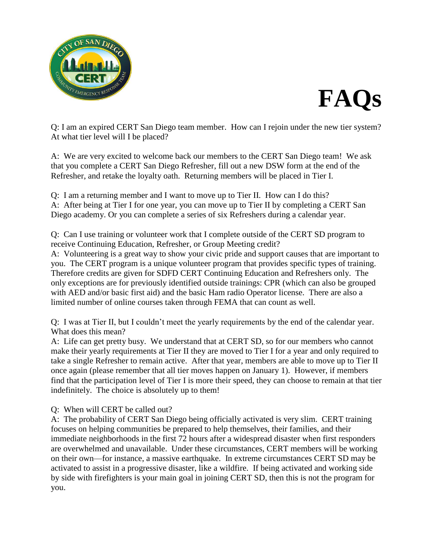



Q: I am an expired CERT San Diego team member. How can I rejoin under the new tier system? At what tier level will I be placed?

A: We are very excited to welcome back our members to the CERT San Diego team! We ask that you complete a CERT San Diego Refresher, fill out a new DSW form at the end of the Refresher, and retake the loyalty oath. Returning members will be placed in Tier I.

Q: I am a returning member and I want to move up to Tier II. How can I do this? A: After being at Tier I for one year, you can move up to Tier II by completing a CERT San Diego academy. Or you can complete a series of six Refreshers during a calendar year.

Q: Can I use training or volunteer work that I complete outside of the CERT SD program to receive Continuing Education, Refresher, or Group Meeting credit?

A: Volunteering is a great way to show your civic pride and support causes that are important to you. The CERT program is a unique volunteer program that provides specific types of training. Therefore credits are given for SDFD CERT Continuing Education and Refreshers only. The only exceptions are for previously identified outside trainings: CPR (which can also be grouped with AED and/or basic first aid) and the basic Ham radio Operator license. There are also a limited number of online courses taken through FEMA that can count as well.

Q: I was at Tier II, but I couldn't meet the yearly requirements by the end of the calendar year. What does this mean?

A: Life can get pretty busy. We understand that at CERT SD, so for our members who cannot make their yearly requirements at Tier II they are moved to Tier I for a year and only required to take a single Refresher to remain active. After that year, members are able to move up to Tier II once again (please remember that all tier moves happen on January 1). However, if members find that the participation level of Tier I is more their speed, they can choose to remain at that tier indefinitely. The choice is absolutely up to them!

Q: When will CERT be called out?

A: The probability of CERT San Diego being officially activated is very slim. CERT training focuses on helping communities be prepared to help themselves, their families, and their immediate neighborhoods in the first 72 hours after a widespread disaster when first responders are overwhelmed and unavailable. Under these circumstances, CERT members will be working on their own—for instance, a massive earthquake. In extreme circumstances CERT SD may be activated to assist in a progressive disaster, like a wildfire. If being activated and working side by side with firefighters is your main goal in joining CERT SD, then this is not the program for you.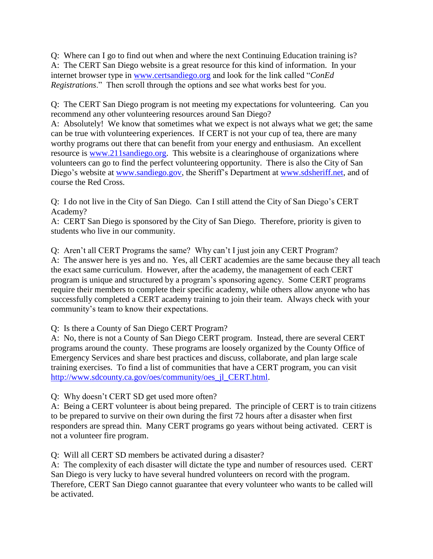Q: Where can I go to find out when and where the next Continuing Education training is? A: The CERT San Diego website is a great resource for this kind of information. In your internet browser type in [www.certsandiego.org](http://www.certsandiego.org/) and look for the link called "*ConEd Registrations*." Then scroll through the options and see what works best for you.

Q: The CERT San Diego program is not meeting my expectations for volunteering. Can you recommend any other volunteering resources around San Diego?

A: Absolutely! We know that sometimes what we expect is not always what we get; the same can be true with volunteering experiences. If CERT is not your cup of tea, there are many worthy programs out there that can benefit from your energy and enthusiasm. An excellent resource is [www.211sandiego.org.](http://www.211sandiego.org/) This website is a clearinghouse of organizations where volunteers can go to find the perfect volunteering opportunity. There is also the City of San Diego's website at [www.sandiego.gov,](http://www.sandiego.gov/) the Sheriff's Department at [www.sdsheriff.net,](http://www.sdsheriff.net/) and of course the Red Cross.

Q: I do not live in the City of San Diego. Can I still attend the City of San Diego's CERT Academy?

A: CERT San Diego is sponsored by the City of San Diego. Therefore, priority is given to students who live in our community.

Q: Aren't all CERT Programs the same? Why can't I just join any CERT Program? A: The answer here is yes and no. Yes, all CERT academies are the same because they all teach the exact same curriculum. However, after the academy, the management of each CERT program is unique and structured by a program's sponsoring agency. Some CERT programs require their members to complete their specific academy, while others allow anyone who has successfully completed a CERT academy training to join their team. Always check with your community's team to know their expectations.

Q: Is there a County of San Diego CERT Program?

A: No, there is not a County of San Diego CERT program. Instead, there are several CERT programs around the county. These programs are loosely organized by the County Office of Emergency Services and share best practices and discuss, collaborate, and plan large scale training exercises. To find a list of communities that have a CERT program, you can visit [http://www.sdcounty.ca.gov/oes/community/oes\\_jl\\_CERT.html.](http://www.sdcounty.ca.gov/oes/community/oes_jl_CERT.html)

Q: Why doesn't CERT SD get used more often?

A: Being a CERT volunteer is about being prepared. The principle of CERT is to train citizens to be prepared to survive on their own during the first 72 hours after a disaster when first responders are spread thin. Many CERT programs go years without being activated. CERT is not a volunteer fire program.

Q: Will all CERT SD members be activated during a disaster?

A: The complexity of each disaster will dictate the type and number of resources used. CERT San Diego is very lucky to have several hundred volunteers on record with the program. Therefore, CERT San Diego cannot guarantee that every volunteer who wants to be called will be activated.